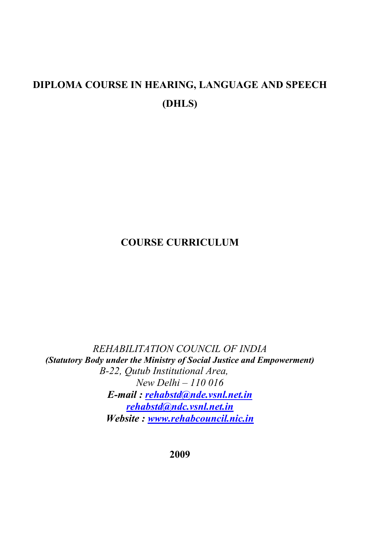# **DIPLOMA COURSE IN HEARING, LANGUAGE AND SPEECH (DHLS)**

## **COURSE CURRICULUM**

*REHABILITATION COUNCIL OF INDIA (Statutory Body under the Ministry of Social Justice and Empowerment) B-22, Qutub Institutional Area, New Delhi – 110 016 E-mail : [rehabstd@nde.vsnl.net.in](mailto:rehabstd@nde.vsnl.net.in) [rehabstd@ndc.vsnl.net.in](mailto:rehabstd@ndc.vsnl.net.in) Website : [www.rehabcouncil.nic.in](http://www.rehabcouncil.nic.in/)*

**2009**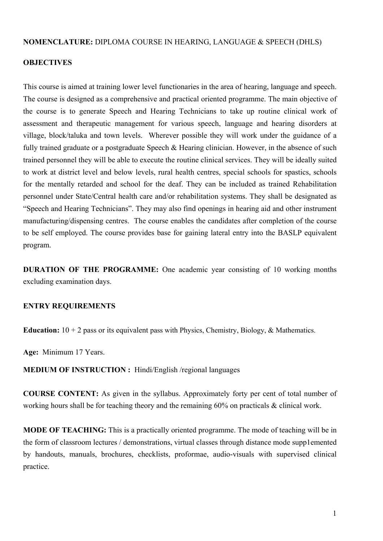#### **NOMENCLATURE:** DIPLOMA COURSE IN HEARING, LANGUAGE & SPEECH (DHLS)

#### **OBJECTIVES**

This course is aimed at training lower level functionaries in the area of hearing, language and speech. The course is designed as a comprehensive and practical oriented programme. The main objective of the course is to generate Speech and Hearing Technicians to take up routine clinical work of assessment and therapeutic management for various speech, language and hearing disorders at village, block/taluka and town levels. Wherever possible they will work under the guidance of a fully trained graduate or a postgraduate Speech & Hearing clinician. However, in the absence of such trained personnel they will be able to execute the routine clinical services. They will be ideally suited to work at district level and below levels, rural health centres, special schools for spastics, schools for the mentally retarded and school for the deaf. They can be included as trained Rehabilitation personnel under State/Central health care and/or rehabilitation systems. They shall be designated as "Speech and Hearing Technicians". They may also find openings in hearing aid and other instrument manufacturing/dispensing centres. The course enables the candidates after completion of the course to be self employed. The course provides base for gaining lateral entry into the BASLP equivalent program.

**DURATION OF THE PROGRAMME:** One academic year consisting of 10 working months excluding examination days.

#### **ENTRY REQUIREMENTS**

**Education:** 10 + 2 pass or its equivalent pass with Physics, Chemistry, Biology, & Mathematics.

**Age:** Minimum 17 Years.

**MEDIUM OF INSTRUCTION :** Hindi/English /regional languages

**COURSE CONTENT:** As given in the syllabus. Approximately forty per cent of total number of working hours shall be for teaching theory and the remaining 60% on practicals & clinical work.

**MODE OF TEACHING:** This is a practically oriented programme. The mode of teaching will be in the form of classroom lectures / demonstrations, virtual classes through distance mode supp1emented by handouts, manuals, brochures, checklists, proformae, audio-visuals with supervised clinical practice.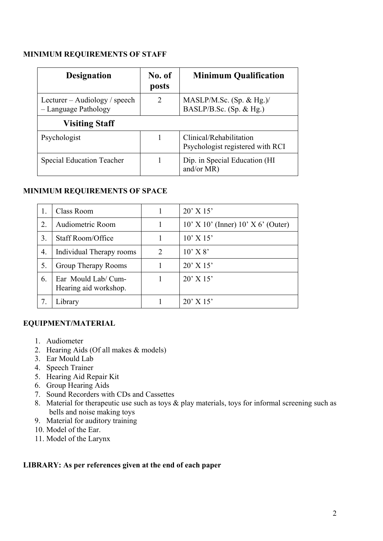#### **MINIMUM REQUIREMENTS OF STAFF**

| <b>Designation</b>                                    | No. of<br>posts | <b>Minimum Qualification</b>                                |
|-------------------------------------------------------|-----------------|-------------------------------------------------------------|
| Lecturer – Audiology / speech<br>- Language Pathology | 2               | MASLP/M.Sc. (Sp. & Hg.)/<br>BASLP/B.Sc. $(Sp. \& Hg.)$      |
| <b>Visiting Staff</b>                                 |                 |                                                             |
| Psychologist                                          |                 | Clinical/Rehabilitation<br>Psychologist registered with RCI |
| <b>Special Education Teacher</b>                      |                 | Dip. in Special Education (HI<br>and/or $MR$ )              |

#### **MINIMUM REQUIREMENTS OF SPACE**

| 1. | Class Room                                  |   | $20'$ X 15'                                |
|----|---------------------------------------------|---|--------------------------------------------|
| 2. | Audiometric Room                            |   | $10'$ X $10'$ (Inner) $10'$ X $6'$ (Outer) |
| 3. | Staff Room/Office                           |   | $10'$ X $15'$                              |
| 4. | Individual Therapy rooms                    | 2 | $10'$ X $8'$                               |
| 5. | Group Therapy Rooms                         |   | $20'$ X 15'                                |
| 6. | Ear Mould Lab/Cum-<br>Hearing aid workshop. |   | $20'$ X 15'                                |
|    | Library                                     |   | $20'$ X 15'                                |

### **EQUIPMENT/MATERIAL**

- 1. Audiometer
- 2. Hearing Aids (Of all makes & models)
- 3. Ear Mould Lab
- 4. Speech Trainer
- 5. Hearing Aid Repair Kit
- 6. Group Hearing Aids
- 7. Sound Recorders with CDs and Cassettes
- 8. Material for therapeutic use such as toys & play materials, toys for informal screening such as bells and noise making toys
- 9. Material for auditory training
- 10. Model of the Ear.
- 11. Model of the Larynx

#### **LIBRARY: As per references given at the end of each paper**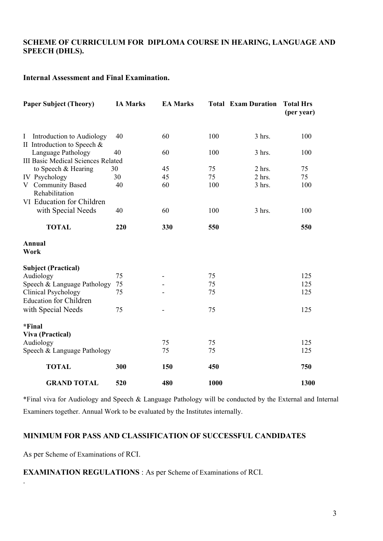#### **SCHEME OF CURRICULUM FOR DIPLOMA COURSE IN HEARING, LANGUAGE AND SPEECH (DHLS).**

#### **Internal Assessment and Final Examination.**

| <b>Paper Subject (Theory)</b>                                              | <b>IA Marks</b> | <b>EA Marks</b> |      | <b>Total Exam Duration</b> | <b>Total Hrs</b><br>(per year) |
|----------------------------------------------------------------------------|-----------------|-----------------|------|----------------------------|--------------------------------|
| Introduction to Audiology<br>$\mathbf{I}$<br>II Introduction to Speech $&$ | 40              | 60              | 100  | 3 hrs.                     | 100                            |
| Language Pathology                                                         | 40              | 60              | 100  | 3 hrs.                     | 100                            |
| <b>III Basic Medical Sciences Related</b>                                  |                 |                 |      |                            |                                |
| to Speech & Hearing                                                        | 30              | 45              | 75   | 2 hrs.                     | 75                             |
| IV Psychology                                                              | 30              | 45              | 75   | $2$ hrs.                   | 75                             |
| V Community Based<br>Rehabilitation                                        | 40              | 60              | 100  | $3$ hrs.                   | 100                            |
| VI Education for Children                                                  |                 |                 |      |                            |                                |
| with Special Needs                                                         | 40              | 60              | 100  | $3$ hrs.                   | 100                            |
| <b>TOTAL</b>                                                               | 220             | 330             | 550  |                            | 550                            |
| Annual<br>Work                                                             |                 |                 |      |                            |                                |
| <b>Subject (Practical)</b>                                                 |                 |                 |      |                            |                                |
| Audiology                                                                  | 75              |                 | 75   |                            | 125                            |
| Speech & Language Pathology                                                | 75              |                 | 75   |                            | 125                            |
| <b>Clinical Psychology</b><br><b>Education for Children</b>                | 75              |                 | 75   |                            | 125                            |
| with Special Needs                                                         | 75              |                 | 75   |                            | 125                            |
| *Final                                                                     |                 |                 |      |                            |                                |
| <b>Viva (Practical)</b>                                                    |                 |                 |      |                            |                                |
| Audiology                                                                  |                 | 75              | 75   |                            | 125                            |
| Speech & Language Pathology                                                |                 | 75              | 75   |                            | 125                            |
| <b>TOTAL</b>                                                               | 300             | 150             | 450  |                            | 750                            |
| <b>GRAND TOTAL</b>                                                         | 520             | 480             | 1000 |                            | 1300                           |

\*Final viva for Audiology and Speech & Language Pathology will be conducted by the External and Internal Examiners together. Annual Work to be evaluated by the Institutes internally.

#### **MINIMUM FOR PASS AND CLASSIFICATION OF SUCCESSFUL CANDIDATES**

As per Scheme of Examinations of RCI.

.

#### **EXAMINATION REGULATIONS** : As per Scheme of Examinations of RCI.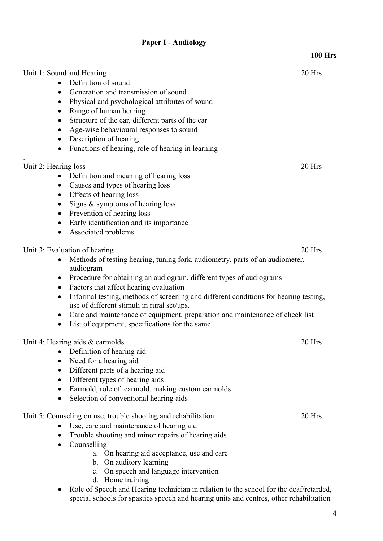### **Paper I - Audiology**

|                                                                                                                                                                                                                                                                                                                                                                                                                                                                                                                                                            | <b>100 Hrs</b> |
|------------------------------------------------------------------------------------------------------------------------------------------------------------------------------------------------------------------------------------------------------------------------------------------------------------------------------------------------------------------------------------------------------------------------------------------------------------------------------------------------------------------------------------------------------------|----------------|
| Unit 1: Sound and Hearing<br>Definition of sound<br>Generation and transmission of sound<br>$\bullet$                                                                                                                                                                                                                                                                                                                                                                                                                                                      | 20 Hrs         |
| Physical and psychological attributes of sound<br>٠<br>Range of human hearing<br>$\bullet$                                                                                                                                                                                                                                                                                                                                                                                                                                                                 |                |
| Structure of the ear, different parts of the ear<br>٠<br>Age-wise behavioural responses to sound<br>Description of hearing<br>$\bullet$                                                                                                                                                                                                                                                                                                                                                                                                                    |                |
| Functions of hearing, role of hearing in learning<br>$\bullet$                                                                                                                                                                                                                                                                                                                                                                                                                                                                                             |                |
| Unit 2: Hearing loss<br>Definition and meaning of hearing loss<br>Causes and types of hearing loss<br>Effects of hearing loss<br>$\bullet$<br>Signs $\&$ symptoms of hearing loss<br>٠<br>Prevention of hearing loss<br>$\bullet$<br>Early identification and its importance<br>$\bullet$<br>Associated problems<br>$\bullet$                                                                                                                                                                                                                              | 20 Hrs         |
| Unit 3: Evaluation of hearing<br>Methods of testing hearing, tuning fork, audiometry, parts of an audiometer,<br>audiogram<br>Procedure for obtaining an audiogram, different types of audiograms<br>Factors that affect hearing evaluation<br>$\bullet$<br>Informal testing, methods of screening and different conditions for hearing testing,<br>$\bullet$<br>use of different stimuli in rural set/ups.<br>Care and maintenance of equipment, preparation and maintenance of check list<br>$\bullet$<br>List of equipment, specifications for the same | 20 Hrs         |
| Unit 4: Hearing aids $&$ earmolds<br>Definition of hearing aid<br>Need for a hearing aid<br>$\bullet$<br>Different parts of a hearing aid<br>Different types of hearing aids<br>Earmold, role of earmold, making custom earmolds<br>Selection of conventional hearing aids                                                                                                                                                                                                                                                                                 | 20 Hrs         |
| Unit 5: Counseling on use, trouble shooting and rehabilitation<br>Use, care and maintenance of hearing aid<br>Trouble shooting and minor repairs of hearing aids<br>$\bullet$<br>Counselling $-$<br>$\bullet$<br>a. On hearing aid acceptance, use and care<br>b. On auditory learning<br>c. On speech and language intervention<br>d. Home training                                                                                                                                                                                                       | 20 Hrs         |

• Role of Speech and Hearing technician in relation to the school for the deaf/retarded, special schools for spastics speech and hearing units and centres, other rehabilitation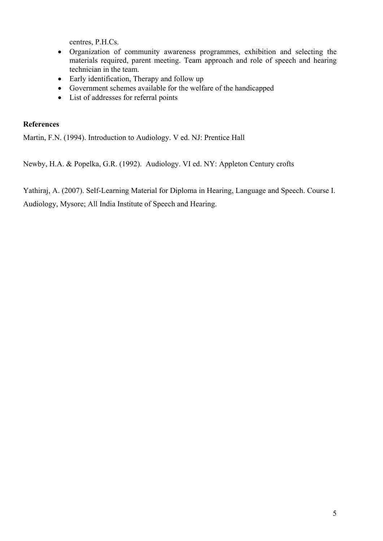centres, P.H.Cs.

- Organization of community awareness programmes, exhibition and selecting the materials required, parent meeting. Team approach and role of speech and hearing technician in the team.
- Early identification, Therapy and follow up
- Government schemes available for the welfare of the handicapped
- List of addresses for referral points

#### **References**

Martin, F.N. (1994). Introduction to Audiology. V ed. NJ: Prentice Hall

Newby, H.A. & Popelka, G.R. (1992). Audiology. VI ed. NY: Appleton Century crofts

Yathiraj, A. (2007). Self-Learning Material for Diploma in Hearing, Language and Speech. Course I. Audiology, Mysore; All India Institute of Speech and Hearing.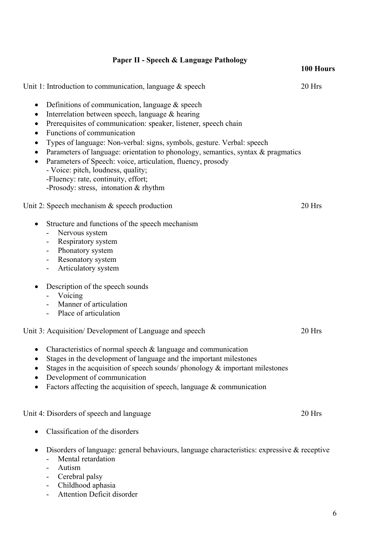#### **Paper II - Speech & Language Pathology 100 Hours**

• Definitions of communication, language  $&$  speech • Interrelation between speech, language & hearing

## • Prerequisites of communication: speaker, listener, speech chain • Functions of communication • Types of language: Non-verbal: signs, symbols, gesture. Verbal: speech • Parameters of language: orientation to phonology, semantics, syntax & pragmatics • Parameters of Speech: voice, articulation, fluency, prosody - Voice: pitch, loudness, quality; -Fluency: rate, continuity, effort; -Prosody: stress, intonation & rhythm Unit 2: Speech mechanism & speech production 20 Hrs • Structure and functions of the speech mechanism - Nervous system - Respiratory system - Phonatory system - Resonatory system - Articulatory system • Description of the speech sounds - Voicing - Manner of articulation - Place of articulation Unit 3: Acquisition/ Development of Language and speech 20 Hrs • Characteristics of normal speech & language and communication • Stages in the development of language and the important milestones • Stages in the acquisition of speech sounds/ phonology  $\&$  important milestones • Development of communication • Factors affecting the acquisition of speech, language  $&$  communication Unit 4: Disorders of speech and language 20 Hrs

- Classification of the disorders
- Disorders of language: general behaviours, language characteristics: expressive & receptive
	- Mental retardation
	- Autism
	- Cerebral palsy
	- Childhood aphasia
	- Attention Deficit disorder

Unit 1: Introduction to communication, language & speech 20 Hrs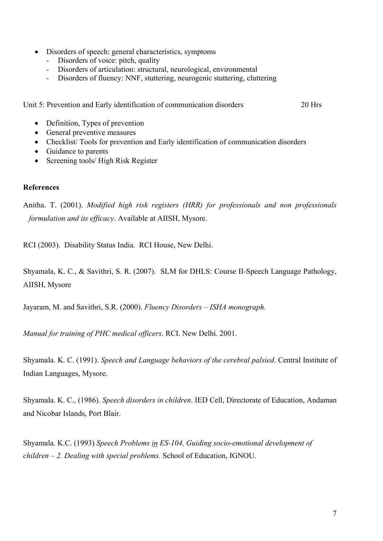- Disorders of speech: general characteristics, symptoms
	- Disorders of voice: pitch, quality
	- Disorders of articulation: structural, neurological, environmental
	- Disorders of fluency: NNF, stuttering, neurogenic stuttering, cluttering

Unit 5: Prevention and Early identification of communication disorders 20 Hrs

- Definition, Types of prevention
- General preventive measures
- Checklist/ Tools for prevention and Early identification of communication disorders
- Guidance to parents
- Screening tools/ High Risk Register

### **References**

Anitha. T. (2001). *Modified high risk registers (HRR) for professionals and non professionals formulation and its efficacy*. Available at AIISH, Mysore.

RCI (2003). Disability Status India. RCI House, New Delhi.

Shyamala, K. C., & Savithri, S. R. (2007). SLM for DHLS: Course II-Speech Language Pathology, AIISH, Mysore

Jayaram, M. and Savithri, S.R. (2000). *Fluency Disorders – ISHA monograph.* 

*Manual for training of PHC medical officers*. RCI. New Delhi. 2001.

Shyamala. K. C. (1991). *Speech and Language behaviors of the cerebral palsied*. Central Institute of Indian Languages, Mysore.

Shyamala. K. C., (1986). *Speech disorders in children*. IED Cell, Directorate of Education, Andaman and Nicobar Islands, Port Blair.

Shyamala. K.C. (1993) *Speech Problems in ES-104, Guiding socio-emotional development of children – 2. Dealing with special problems.* School of Education, IGNOU.  $\ddot{\phantom{0}}$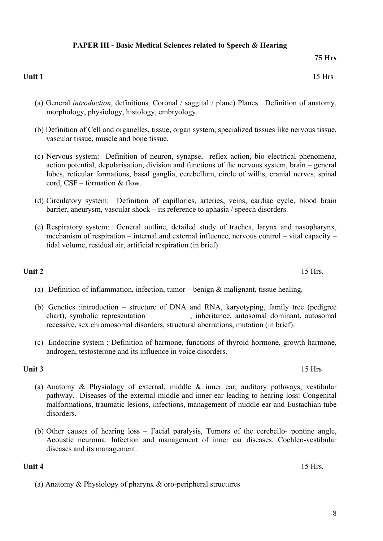- (c) Nervous system: Definition of neuron, synapse, reflex action, bio electrical phenomena, action potential, depolarisation, division and functions of the nervous system, brain – general lobes, reticular formations, basal ganglia, cerebellum, circle of willis, cranial nerves, spinal cord, CSF – formation & flow.
- (d) Circulatory system: Definition of capillaries, arteries, veins, cardiac cycle, blood brain barrier, aneurysm, vascular shock – its reference to aphasia / speech disorders.
- (e) Respiratory system: General outline, detailed study of trachea, larynx and nasopharynx, mechanism of respiration – internal and external influence, nervous control – vital capacity – tidal volume, residual air, artificial respiration (in brief).

#### **Unit 2** 15 Hrs.

- (a) Definition of inflammation, infection, tumor benign  $\&$  malignant, tissue healing.
- (b) Genetics :introduction structure of DNA and RNA, karyotyping, family tree (pedigree chart), symbolic representation , inheritance, autosomal dominant, autosomal recessive, sex chromosomal disorders, structural aberrations, mutation (in brief).
- (c) Endocrine system : Definition of harmone, functions of thyroid hormone, growth harmone, androgen, testosterone and its influence in voice disorders.

#### **Unit 3** 15 Hrs

- (a) Anatomy & Physiology of external, middle & inner ear, auditory pathways, vestibular pathway. Diseases of the external middle and inner ear leading to hearing loss: Congenital malformations, traumatic lesions, infections, management of middle ear and Eustachian tube disorders.
- (b) Other causes of hearing loss Facial paralysis, Tumors of the cerebello- pontine angle, Acoustic neuroma. Infection and management of inner ear diseases. Cochleo-vestibular diseases and its management.

(a) Anatomy & Physiology of pharynx & oro-peripheral structures

#### (a) General *introduction*, definitions. Coronal / saggital / plane) Planes. Definition of anatomy, morphology, physiology, histology, embryology.

(b) Definition of Cell and organelles, tissue, organ system, specialized tissues like nervous tissue,

- vascular tissue, muscle and bone tissue.
- 
- 

#### **PAPER III - Basic Medical Sciences related to Speech & Hearing**

**Unit 1** 15 Hrs

**75 Hrs** 

**Unit 4** 15 Hrs.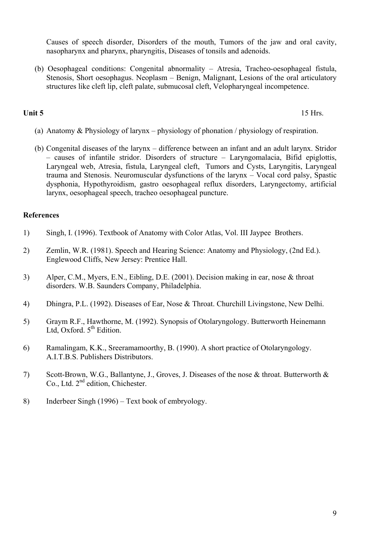Causes of speech disorder, Disorders of the mouth, Tumors of the jaw and oral cavity, nasopharynx and pharynx, pharyngitis, Diseases of tonsils and adenoids.

(b) Oesophageal conditions: Congenital abnormality – Atresia, Tracheo-oesophageal fistula, Stenosis, Short oesophagus. Neoplasm – Benign, Malignant, Lesions of the oral articulatory structures like cleft lip, cleft palate, submucosal cleft, Velopharyngeal incompetence.

**Unit 5** 15 Hrs.

- (a) Anatomy & Physiology of larynx physiology of phonation / physiology of respiration.
- (b) Congenital diseases of the larynx difference between an infant and an adult larynx. Stridor – causes of infantile stridor. Disorders of structure – Laryngomalacia, Bifid epiglottis, Laryngeal web, Atresia, fistula, Laryngeal cleft, Tumors and Cysts, Laryngitis, Laryngeal trauma and Stenosis. Neuromuscular dysfunctions of the larynx – Vocal cord palsy, Spastic dysphonia, Hypothyroidism, gastro oesophageal reflux disorders, Laryngectomy, artificial larynx, oesophageal speech, tracheo oesophageal puncture.

#### **References**

- 1) Singh, I. (1996). Textbook of Anatomy with Color Atlas, Vol. III Jaypee Brothers.
- 2) Zemlin, W.R. (1981). Speech and Hearing Science: Anatomy and Physiology, (2nd Ed.). Englewood Cliffs, New Jersey: Prentice Hall.
- 3) Alper, C.M., Myers, E.N., Eibling, D.E. (2001). Decision making in ear, nose & throat disorders. W.B. Saunders Company, Philadelphia.
- 4) Dhingra, P.L. (1992). Diseases of Ear, Nose & Throat. Churchill Livingstone, New Delhi.
- 5) Graym R.F., Hawthorne, M. (1992). Synopsis of Otolaryngology. Butterworth Heinemann Ltd, Oxford.  $5<sup>th</sup>$  Edition.
- 6) Ramalingam, K.K., Sreeramamoorthy, B. (1990). A short practice of Otolaryngology. A.I.T.B.S. Publishers Distributors.
- 7) Scott-Brown, W.G., Ballantyne, J., Groves, J. Diseases of the nose & throat. Butterworth & Co., Ltd. 2<sup>nd</sup> edition, Chichester.
- 8) Inderbeer Singh (1996) Text book of embryology.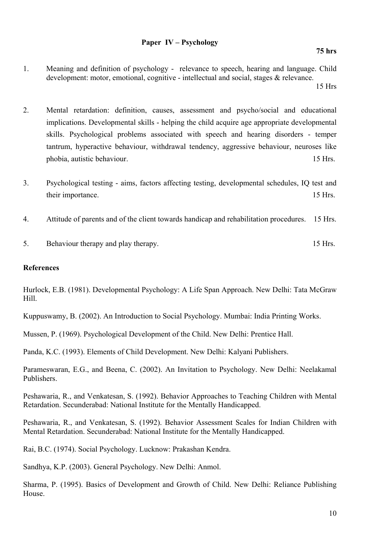- 1. Meaning and definition of psychology relevance to speech, hearing and language. Child development: motor, emotional, cognitive - intellectual and social, stages & relevance. 15 Hrs
- 2. Mental retardation: definition, causes, assessment and psycho/social and educational implications. Developmental skills - helping the child acquire age appropriate developmental skills. Psychological problems associated with speech and hearing disorders - temper tantrum, hyperactive behaviour, withdrawal tendency, aggressive behaviour, neuroses like phobia, autistic behaviour. 15 Hrs.
- 3. Psychological testing aims, factors affecting testing, developmental schedules, IQ test and their importance. 15 Hrs.
- 4. Attitude of parents and of the client towards handicap and rehabilitation procedures. 15 Hrs.
- 5. Behaviour therapy and play therapy. 15 Hrs.

#### **References**

Hurlock, E.B. (1981). Developmental Psychology: A Life Span Approach. New Delhi: Tata McGraw Hill.

Kuppuswamy, B. (2002). An Introduction to Social Psychology. Mumbai: India Printing Works.

Mussen, P. (1969). Psychological Development of the Child. New Delhi: Prentice Hall.

Panda, K.C. (1993). Elements of Child Development. New Delhi: Kalyani Publishers.

Parameswaran, E.G., and Beena, C. (2002). An Invitation to Psychology. New Delhi: Neelakamal Publishers.

Peshawaria, R., and Venkatesan, S. (1992). Behavior Approaches to Teaching Children with Mental Retardation. Secunderabad: National Institute for the Mentally Handicapped.

Peshawaria, R., and Venkatesan, S. (1992). Behavior Assessment Scales for Indian Children with Mental Retardation. Secunderabad: National Institute for the Mentally Handicapped.

Rai, B.C. (1974). Social Psychology. Lucknow: Prakashan Kendra.

Sandhya, K.P. (2003). General Psychology. New Delhi: Anmol.

Sharma, P. (1995). Basics of Development and Growth of Child. New Delhi: Reliance Publishing House.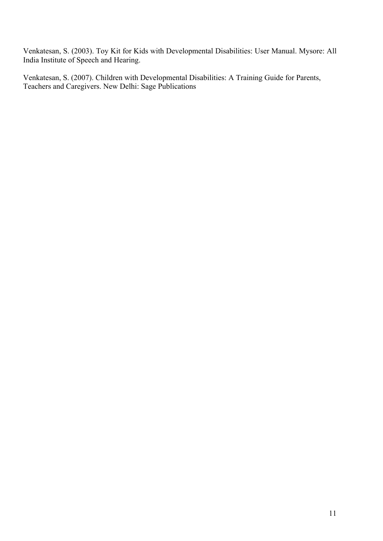Venkatesan, S. (2003). Toy Kit for Kids with Developmental Disabilities: User Manual. Mysore: All India Institute of Speech and Hearing.

Venkatesan, S. (2007). Children with Developmental Disabilities: A Training Guide for Parents, Teachers and Caregivers. New Delhi: Sage Publications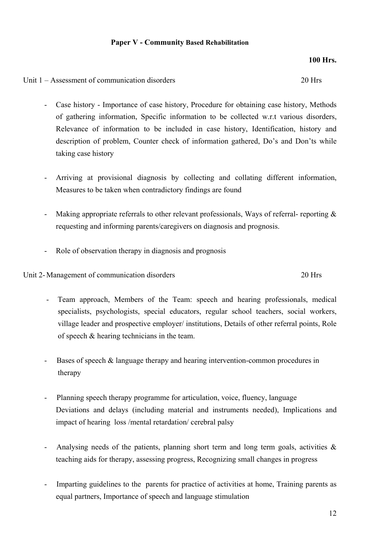#### **Paper V - Community Based Rehabilitation**

#### **100 Hrs.**

Unit 1 – Assessment of communication disorders 20 Hrs

- Case history Importance of case history, Procedure for obtaining case history, Methods of gathering information, Specific information to be collected w.r.t various disorders, Relevance of information to be included in case history, Identification, history and description of problem, Counter check of information gathered, Do's and Don'ts while taking case history
- Arriving at provisional diagnosis by collecting and collating different information, Measures to be taken when contradictory findings are found
- Making appropriate referrals to other relevant professionals, Ways of referral- reporting  $\&$ requesting and informing parents/caregivers on diagnosis and prognosis.
- Role of observation therapy in diagnosis and prognosis

Unit 2- Management of communication disorders 20 Hrs

- Team approach, Members of the Team: speech and hearing professionals, medical specialists, psychologists, special educators, regular school teachers, social workers, village leader and prospective employer/ institutions, Details of other referral points, Role of speech & hearing technicians in the team.
- Bases of speech  $&$  language therapy and hearing intervention-common procedures in therapy
- Planning speech therapy programme for articulation, voice, fluency, language Deviations and delays (including material and instruments needed), Implications and impact of hearing loss /mental retardation/ cerebral palsy
- Analysing needs of the patients, planning short term and long term goals, activities  $\&$ teaching aids for therapy, assessing progress, Recognizing small changes in progress
- Imparting guidelines to the parents for practice of activities at home, Training parents as equal partners, Importance of speech and language stimulation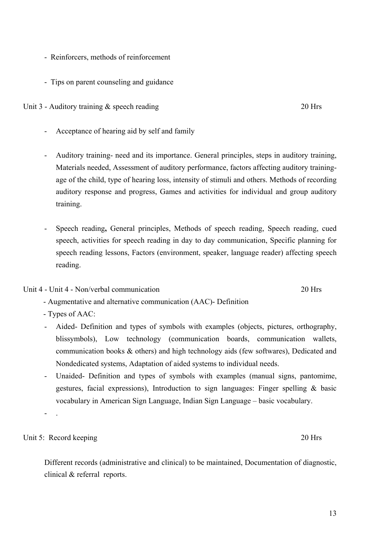blissymbols), Low technology (communication boards, communication wallets, communication books & others) and high technology aids (few softwares), Dedicated and Nondedicated systems, Adaptation of aided systems to individual needs.

- Unaided- Definition and types of symbols with examples (manual signs, pantomime,

vocabulary in American Sign Language, Indian Sign Language – basic vocabulary.

gestures, facial expressions), Introduction to sign languages: Finger spelling & basic

- Aided- Definition and types of symbols with examples (objects, pictures, orthography,

- Types of AAC:
- 
- - Augmentative and alternative communication (AAC)- Definition
- 

- .

training.

- Auditory training- need and its importance. General principles, steps in auditory training, Materials needed, Assessment of auditory performance, factors affecting auditory training-

age of the child, type of hearing loss, intensity of stimuli and others. Methods of recording auditory response and progress, Games and activities for individual and group auditory

- Speech reading**,** General principles, Methods of speech reading, Speech reading, cued

Unit 3 - Auditory training & speech reading 20 Hrs

- Acceptance of hearing aid by self and family
- Tips on parent counseling and guidance
- Reinforcers, methods of reinforcement

- speech, activities for speech reading in day to day communication, Specific planning for speech reading lessons, Factors (environment, speaker, language reader) affecting speech
	- reading.

clinical & referral reports.

- 
- 
- Unit 4 Unit 4 Non/verbal communication 20 Hrs

Different records (administrative and clinical) to be maintained, Documentation of diagnostic,

13

## Unit 5: Record keeping 20 Hrs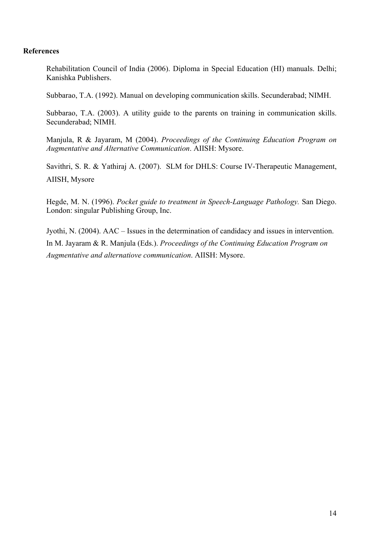#### **References**

Rehabilitation Council of India (2006). Diploma in Special Education (HI) manuals. Delhi; Kanishka Publishers.

Subbarao, T.A. (1992). Manual on developing communication skills. Secunderabad; NIMH.

Subbarao, T.A. (2003). A utility guide to the parents on training in communication skills. Secunderabad; NIMH.

Manjula, R & Jayaram, M (2004). *Proceedings of the Continuing Education Program on Augmentative and Alternative Communication*. AIISH: Mysore.

Savithri, S. R. & Yathiraj A. (2007). SLM for DHLS: Course IV-Therapeutic Management, AIISH, Mysore

Hegde, M. N. (1996). *Pocket guide to treatment in Speech-Language Pathology.* San Diego. London: singular Publishing Group, Inc.

Jyothi, N. (2004). AAC – Issues in the determination of candidacy and issues in intervention. In M. Jayaram & R. Manjula (Eds.). *Proceedings of the Continuing Education Program on Augmentative and alternatiove communication*. AIISH: Mysore.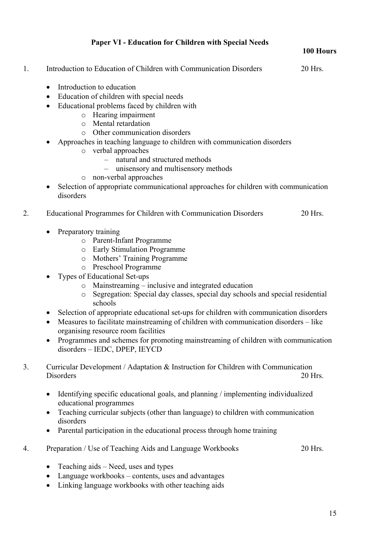### **Paper VI - Education for Children with Special Needs**

#### **100 Hours**

| Introduction to Education of Children with Communication Disorders | 20 Hrs. |
|--------------------------------------------------------------------|---------|
|                                                                    |         |

- Introduction to education
- Education of children with special needs
- Educational problems faced by children with
	- o Hearing impairment
	- o Mental retardation
	- o Other communication disorders
- Approaches in teaching language to children with communication disorders
	- o verbal approaches
		- natural and structured methods
		- unisensory and multisensory methods
	- o non-verbal approaches
- Selection of appropriate communicational approaches for children with communication disorders
- 2. Educational Programmes for Children with Communication Disorders 20 Hrs.
	- Preparatory training
		- o Parent-Infant Programme
		- o Early Stimulation Programme
		- o Mothers' Training Programme
		- o Preschool Programme
	- Types of Educational Set-ups
		- o Mainstreaming inclusive and integrated education
		- o Segregation: Special day classes, special day schools and special residential schools
	- Selection of appropriate educational set-ups for children with communication disorders
	- Measures to facilitate mainstreaming of children with communication disorders like organising resource room facilities
	- Programmes and schemes for promoting mainstreaming of children with communication disorders – IEDC, DPEP, IEYCD
- 3. Curricular Development / Adaptation & Instruction for Children with Communication Disorders 20 Hrs.
	- Identifying specific educational goals, and planning / implementing individualized educational programmes
	- Teaching curricular subjects (other than language) to children with communication disorders
	- Parental participation in the educational process through home training
- 4. Preparation / Use of Teaching Aids and Language Workbooks 20 Hrs.
	- Teaching aids Need, uses and types
	- Language workbooks contents, uses and advantages
	- Linking language workbooks with other teaching aids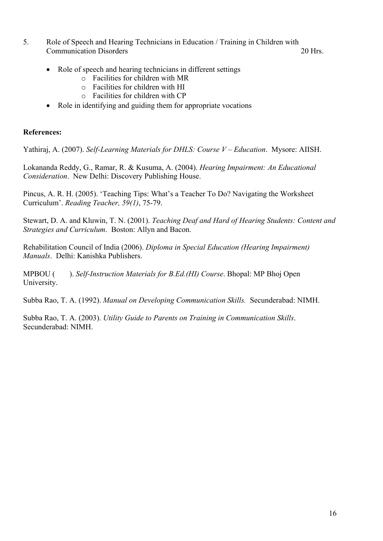5. Role of Speech and Hearing Technicians in Education / Training in Children with Communication Disorders 20 Hrs.

- Role of speech and hearing technicians in different settings
	- o Facilities for children with MR
	- o Facilities for children with HI
	- o Facilities for children with CP
- Role in identifying and guiding them for appropriate vocations

#### **References:**

Yathiraj, A. (2007). *Self-Learning Materials for DHLS: Course V – Education*. Mysore: AIISH.

Lokananda Reddy, G., Ramar, R. & Kusuma, A. (2004). *Hearing Impairment: An Educational Consideration*. New Delhi: Discovery Publishing House.

Pincus, A. R. H. (2005). 'Teaching Tips: What's a Teacher To Do? Navigating the Worksheet Curriculum'. *Reading Teacher, 59(1)*, 75-79.

Stewart, D. A. and Kluwin, T. N. (2001). *Teaching Deaf and Hard of Hearing Students: Content and Strategies and Curriculum*. Boston: Allyn and Bacon.

Rehabilitation Council of India (2006). *Diploma in Special Education (Hearing Impairment) Manuals*. Delhi: Kanishka Publishers.

MPBOU ( ). *Self-Instruction Materials for B.Ed.(HI) Course*. Bhopal: MP Bhoj Open University.

Subba Rao, T. A. (1992). *Manual on Developing Communication Skills.* Secunderabad: NIMH.

Subba Rao, T. A. (2003). *Utility Guide to Parents on Training in Communication Skills*. Secunderabad: NIMH.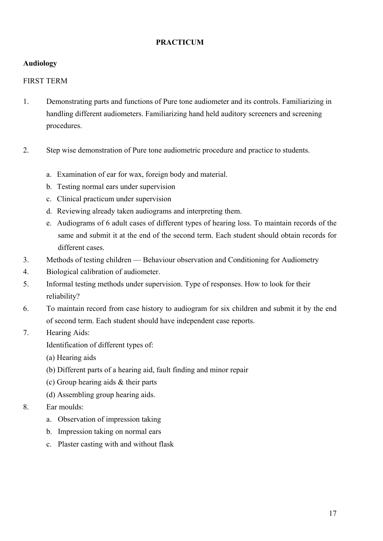### **PRACTICUM**

### **Audiology**

#### FIRST TERM

- 1. Demonstrating parts and functions of Pure tone audiometer and its controls. Familiarizing in handling different audiometers. Familiarizing hand held auditory screeners and screening procedures.
- 2. Step wise demonstration of Pure tone audiometric procedure and practice to students.
	- a. Examination of ear for wax, foreign body and material.
	- b. Testing normal ears under supervision
	- c. Clinical practicum under supervision
	- d. Reviewing already taken audiograms and interpreting them.
	- e. Audiograms of 6 adult cases of different types of hearing loss. To maintain records of the same and submit it at the end of the second term. Each student should obtain records for different cases.
- 3. Methods of testing children Behaviour observation and Conditioning for Audiometry
- 4. Biological calibration of audiometer.
- 5. Informal testing methods under supervision. Type of responses. How to look for their reliability?
- 6. To maintain record from case history to audiogram for six children and submit it by the end of second term. Each student should have independent case reports.
- 7. Hearing Aids:

Identification of different types of:

- (a) Hearing aids
- (b) Different parts of a hearing aid, fault finding and minor repair
- (c) Group hearing aids & their parts
- (d) Assembling group hearing aids.
- 8. Ear moulds:
	- a.Observation of impression taking
	- b. Impression taking on normal ears
	- c. Plaster casting with and without flask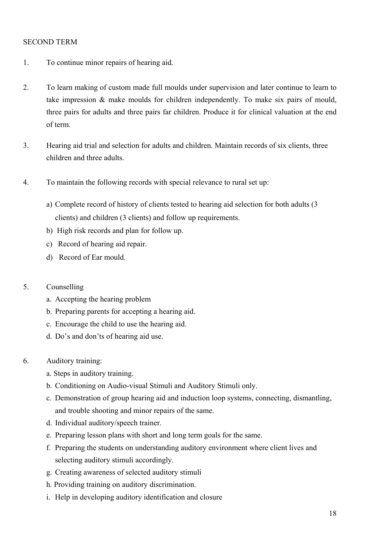#### SECOND TERM

- 1. To continue minor repairs of hearing aid.
- 2. To learn making of custom made full moulds under supervision and later continue to learn to take impression & make moulds for children independently. To make six pairs of mould, three pairs for adults and three pairs far children. Produce it for clinical valuation at the end of term.
- 3. Hearing aid trial and selection for adults and children. Maintain records of six clients, three children and three adults.
- 4. To maintain the following records with special relevance to rural set up:
	- a) Complete record of history of clients tested to hearing aid selection for both adults (3 clients) and children (3 clients) and follow up requirements.
	- b) High risk records and plan for follow up.
	- c) Record of hearing aid repair.
	- d)Record of Ear mould.

#### 5. Counselling

- a. Accepting the hearing problem
- b. Preparing parents for accepting a hearing aid.
- c. Encourage the child to use the hearing aid.
- d. Do's and don'ts of hearing aid use.
- 6. Auditory training:
	- a. Steps in auditory training.
	- b. Conditioning on Audio-visual Stimuli and Auditory Stimuli only.
	- c. Demonstration of group hearing aid and induction loop systems, connecting, dismantling, and trouble shooting and minor repairs of the same.
	- d. Individual auditory/speech trainer.
	- e. Preparing lesson plans with short and long term goals for the same.
	- f. Preparing the students on understanding auditory environment where client lives and selecting auditory stimuli accordingly.
	- g. Creating awareness of selected auditory stimuli
	- h. Providing training on auditory discrimination.
	- i. Help in developing auditory identification and closure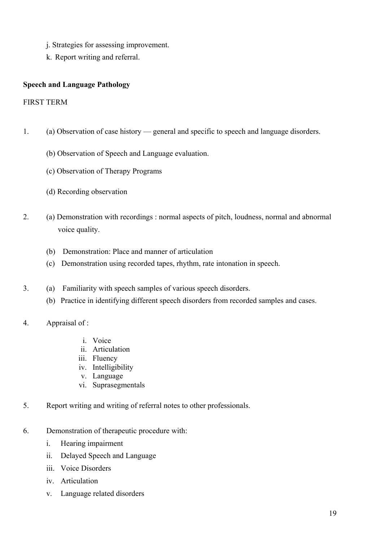- j. Strategies for assessing improvement.
- k. Report writing and referral.

#### **Speech and Language Pathology**

#### FIRST TERM

- 1. (a) Observation of case history general and specific to speech and language disorders.
	- (b) Observation of Speech and Language evaluation.
	- (c) Observation of Therapy Programs
	- (d) Recording observation
- 2. (a) Demonstration with recordings : normal aspects of pitch, loudness, normal and abnormal voice quality.
	- (b) Demonstration: Place and manner of articulation
	- (c) Demonstration using recorded tapes, rhythm, rate intonation in speech.
- 3. (a) Familiarity with speech samples of various speech disorders.
	- (b) Practice in identifying different speech disorders from recorded samples and cases.
- 4. Appraisal of :
	- i. Voice
	- ii. Articulation
	- iii. Fluency
	- iv. Intelligibility
	- v. Language
	- vi. Suprasegmentals
- 5. Report writing and writing of referral notes to other professionals.
- 6. Demonstration of therapeutic procedure with:
	- i. Hearing impairment
	- ii. Delayed Speech and Language
	- iii. Voice Disorders
	- iv. Articulation
	- v. Language related disorders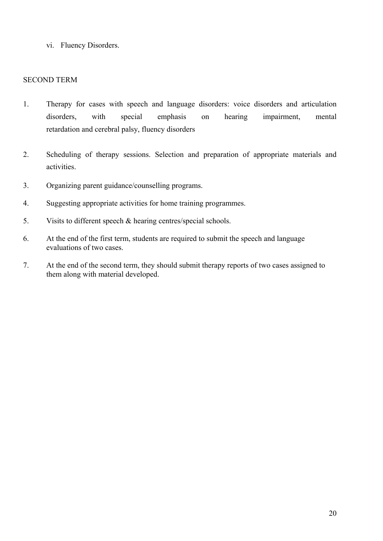vi. Fluency Disorders.

#### SECOND TERM

- 1. Therapy for cases with speech and language disorders: voice disorders and articulation disorders, with special emphasis on hearing impairment, mental retardation and cerebral palsy, fluency disorders
- 2. Scheduling of therapy sessions. Selection and preparation of appropriate materials and activities.
- 3. Organizing parent guidance/counselling programs.
- 4. Suggesting appropriate activities for home training programmes.
- 5. Visits to different speech & hearing centres/special schools.
- 6. At the end of the first term, students are required to submit the speech and language evaluations of two cases.
- 7. At the end of the second term, they should submit therapy reports of two cases assigned to them along with material developed.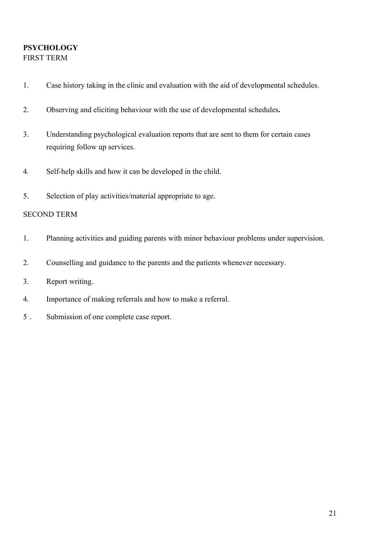### **PSYCHOLOGY** FIRST TERM

- 1. Case history taking in the clinic and evaluation with the aid of developmental schedules.
- 2. Observing and eliciting behaviour with the use of developmental schedules**.**
- 3. Understanding psychological evaluation reports that are sent to them for certain cases requiring follow up services.
- 4*.* Self-help skills and how it can be developed in the child.
- 5. Selection of play activities/material appropriate to age.

### SECOND TERM

- 1. Planning activities and guiding parents with minor behaviour problems under supervision.
- 2. Counselling and guidance to the parents and the patients whenever necessary.
- 3. Report writing.
- 4. Importance of making referrals and how to make a referral.
- 5 . Submission of one complete case report.